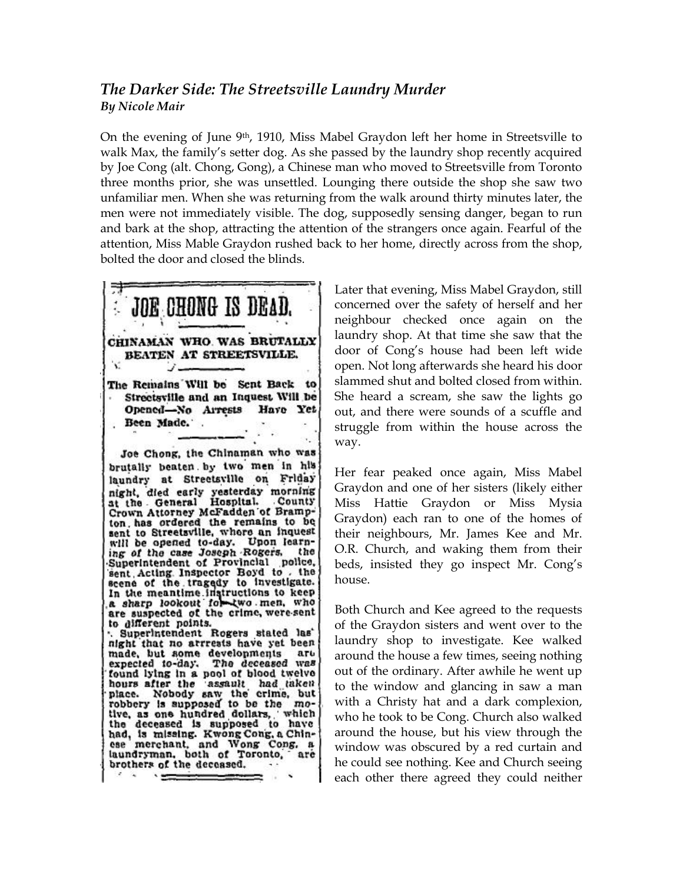## *The Darker Side: The Streetsville Laundry Murder By Nicole Mair*

On the evening of June 9th, 1910, Miss Mabel Graydon left her home in Streetsville to walk Max, the family's setter dog. As she passed by the laundry shop recently acquired by Joe Cong (alt. Chong, Gong), a Chinese man who moved to Streetsville from Toronto three months prior, she was unsettled. Lounging there outside the shop she saw two unfamiliar men. When she was returning from the walk around thirty minutes later, the men were not immediately visible. The dog, supposedly sensing danger, began to run and bark at the shop, attracting the attention of the strangers once again. Fearful of the attention, Miss Mable Graydon rushed back to her home, directly across from the shop, bolted the door and closed the blinds.



Later that evening, Miss Mabel Graydon, still concerned over the safety of herself and her neighbour checked once again on the laundry shop. At that time she saw that the door of Cong's house had been left wide open. Not long afterwards she heard his door slammed shut and bolted closed from within. She heard a scream, she saw the lights go out, and there were sounds of a scuffle and struggle from within the house across the way.

Her fear peaked once again, Miss Mabel Graydon and one of her sisters (likely either Miss Hattie Graydon or Miss Mysia Graydon) each ran to one of the homes of their neighbours, Mr. James Kee and Mr. O.R. Church, and waking them from their beds, insisted they go inspect Mr. Cong's house.

Both Church and Kee agreed to the requests of the Graydon sisters and went over to the laundry shop to investigate. Kee walked around the house a few times, seeing nothing out of the ordinary. After awhile he went up to the window and glancing in saw a man with a Christy hat and a dark complexion, who he took to be Cong. Church also walked around the house, but his view through the window was obscured by a red curtain and he could see nothing. Kee and Church seeing each other there agreed they could neither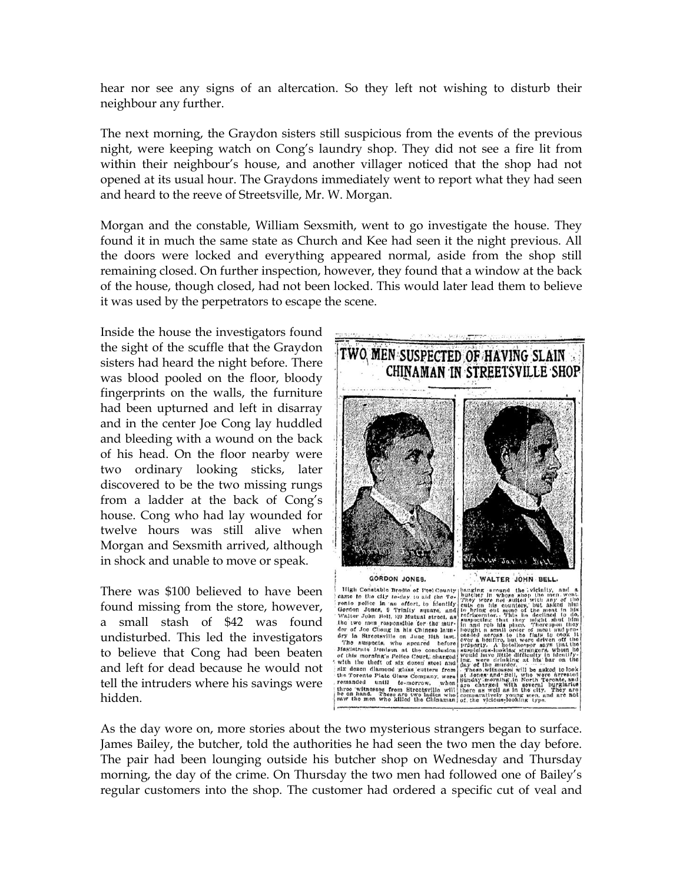hear nor see any signs of an altercation. So they left not wishing to disturb their neighbour any further.

The next morning, the Graydon sisters still suspicious from the events of the previous night, were keeping watch on Cong's laundry shop. They did not see a fire lit from within their neighbour's house, and another villager noticed that the shop had not opened at its usual hour. The Graydons immediately went to report what they had seen and heard to the reeve of Streetsville, Mr. W. Morgan.

Morgan and the constable, William Sexsmith, went to go investigate the house. They found it in much the same state as Church and Kee had seen it the night previous. All the doors were locked and everything appeared normal, aside from the shop still remaining closed. On further inspection, however, they found that a window at the back of the house, though closed, had not been locked. This would later lead them to believe it was used by the perpetrators to escape the scene.

Inside the house the investigators found the sight of the scuffle that the Graydon sisters had heard the night before. There was blood pooled on the floor, bloody fingerprints on the walls, the furniture had been upturned and left in disarray and in the center Joe Cong lay huddled and bleeding with a wound on the back of his head. On the floor nearby were two ordinary looking sticks, later discovered to be the two missing rungs from a ladder at the back of Cong's house. Cong who had lay wounded for twelve hours was still alive when Morgan and Sexsmith arrived, although in shock and unable to move or speak.

There was \$100 believed to have been found missing from the store, however, a small stash of \$42 was found undisturbed. This led the investigators to believe that Cong had been beaten and left for dead because he would not tell the intruders where his savings were hidden.



As the day wore on, more stories about the two mysterious strangers began to surface. James Bailey, the butcher, told the authorities he had seen the two men the day before. The pair had been lounging outside his butcher shop on Wednesday and Thursday morning, the day of the crime. On Thursday the two men had followed one of Bailey's regular customers into the shop. The customer had ordered a specific cut of veal and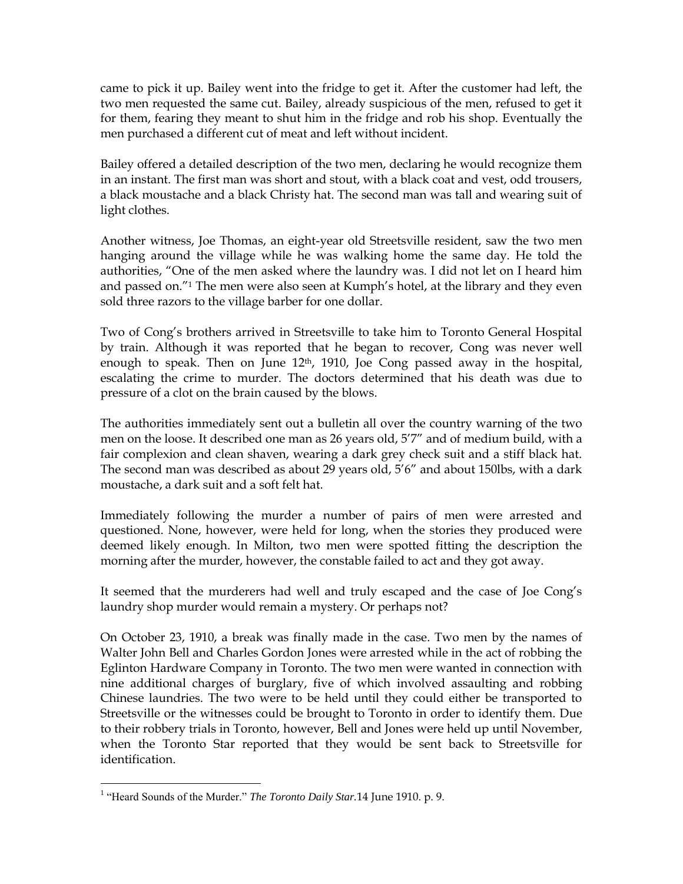came to pick it up. Bailey went into the fridge to get it. After the customer had left, the two men requested the same cut. Bailey, already suspicious of the men, refused to get it for them, fearing they meant to shut him in the fridge and rob his shop. Eventually the men purchased a different cut of meat and left without incident.

Bailey offered a detailed description of the two men, declaring he would recognize them in an instant. The first man was short and stout, with a black coat and vest, odd trousers, a black moustache and a black Christy hat. The second man was tall and wearing suit of light clothes.

Another witness, Joe Thomas, an eight-year old Streetsville resident, saw the two men hanging around the village while he was walking home the same day. He told the authorities, "One of the men asked where the laundry was. I did not let on I heard him and passed on."<sup>1</sup> The men were also seen at Kumph's hotel, at the library and they even sold three razors to the village barber for one dollar.

Two of Cong's brothers arrived in Streetsville to take him to Toronto General Hospital by train. Although it was reported that he began to recover, Cong was never well enough to speak. Then on June  $12<sup>th</sup>$ , 1910, Joe Cong passed away in the hospital, escalating the crime to murder. The doctors determined that his death was due to pressure of a clot on the brain caused by the blows.

The authorities immediately sent out a bulletin all over the country warning of the two men on the loose. It described one man as 26 years old, 5'7" and of medium build, with a fair complexion and clean shaven, wearing a dark grey check suit and a stiff black hat. The second man was described as about 29 years old, 5'6" and about 150lbs, with a dark moustache, a dark suit and a soft felt hat.

Immediately following the murder a number of pairs of men were arrested and questioned. None, however, were held for long, when the stories they produced were deemed likely enough. In Milton, two men were spotted fitting the description the morning after the murder, however, the constable failed to act and they got away.

It seemed that the murderers had well and truly escaped and the case of Joe Cong's laundry shop murder would remain a mystery. Or perhaps not?

On October 23, 1910, a break was finally made in the case. Two men by the names of Walter John Bell and Charles Gordon Jones were arrested while in the act of robbing the Eglinton Hardware Company in Toronto. The two men were wanted in connection with nine additional charges of burglary, five of which involved assaulting and robbing Chinese laundries. The two were to be held until they could either be transported to Streetsville or the witnesses could be brought to Toronto in order to identify them. Due to their robbery trials in Toronto, however, Bell and Jones were held up until November, when the Toronto Star reported that they would be sent back to Streetsville for identification.

 $\overline{a}$ 

<sup>&</sup>lt;sup>1</sup> "Heard Sounds of the Murder." *The Toronto Daily Star*.14 June 1910. p. 9.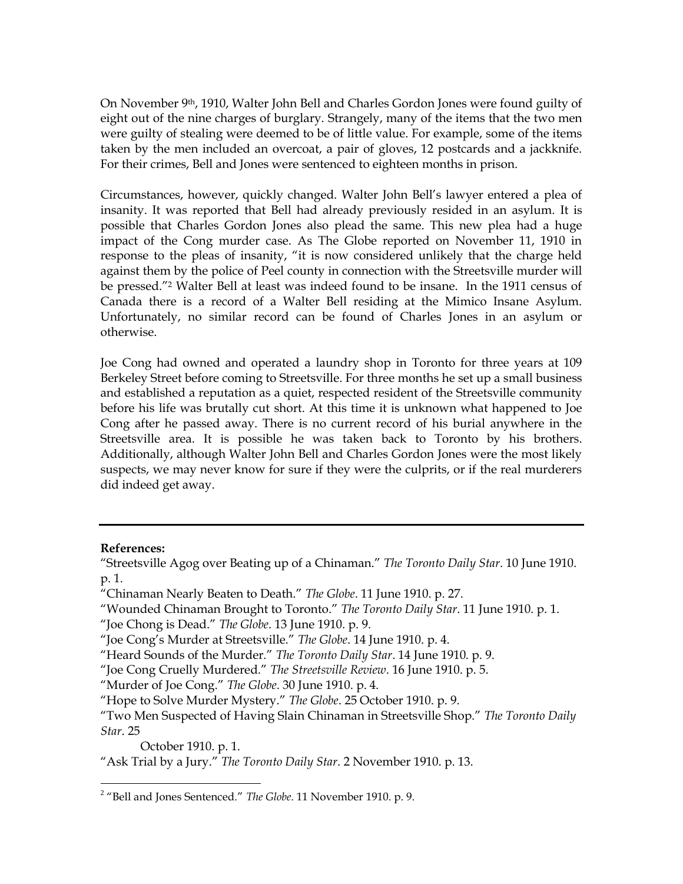On November 9th, 1910, Walter John Bell and Charles Gordon Jones were found guilty of eight out of the nine charges of burglary. Strangely, many of the items that the two men were guilty of stealing were deemed to be of little value. For example, some of the items taken by the men included an overcoat, a pair of gloves, 12 postcards and a jackknife. For their crimes, Bell and Jones were sentenced to eighteen months in prison.

Circumstances, however, quickly changed. Walter John Bell's lawyer entered a plea of insanity. It was reported that Bell had already previously resided in an asylum. It is possible that Charles Gordon Jones also plead the same. This new plea had a huge impact of the Cong murder case. As The Globe reported on November 11, 1910 in response to the pleas of insanity, "it is now considered unlikely that the charge held against them by the police of Peel county in connection with the Streetsville murder will be pressed."<sup>2</sup> Walter Bell at least was indeed found to be insane. In the 1911 census of Canada there is a record of a Walter Bell residing at the Mimico Insane Asylum. Unfortunately, no similar record can be found of Charles Jones in an asylum or otherwise.

Joe Cong had owned and operated a laundry shop in Toronto for three years at 109 Berkeley Street before coming to Streetsville. For three months he set up a small business and established a reputation as a quiet, respected resident of the Streetsville community before his life was brutally cut short. At this time it is unknown what happened to Joe Cong after he passed away. There is no current record of his burial anywhere in the Streetsville area. It is possible he was taken back to Toronto by his brothers. Additionally, although Walter John Bell and Charles Gordon Jones were the most likely suspects, we may never know for sure if they were the culprits, or if the real murderers did indeed get away.

## **References:**

 $\overline{a}$ 

October 1910. p. 1.

<sup>&</sup>quot;Streetsville Agog over Beating up of a Chinaman." *The Toronto Daily Star*. 10 June 1910. p. 1.

<sup>&</sup>quot;Chinaman Nearly Beaten to Death." *The Globe*. 11 June 1910. p. 27.

<sup>&</sup>quot;Wounded Chinaman Brought to Toronto." *The Toronto Daily Star*. 11 June 1910. p. 1.

<sup>&</sup>quot;Joe Chong is Dead." *The Globe*. 13 June 1910. p. 9.

<sup>&</sup>quot;Joe Cong's Murder at Streetsville." *The Globe*. 14 June 1910. p. 4.

<sup>&</sup>quot;Heard Sounds of the Murder." *The Toronto Daily Star*. 14 June 1910. p. 9.

<sup>&</sup>quot;Joe Cong Cruelly Murdered." *The Streetsville Review*. 16 June 1910. p. 5.

<sup>&</sup>quot;Murder of Joe Cong." *The Globe*. 30 June 1910. p. 4.

<sup>&</sup>quot;Hope to Solve Murder Mystery." *The Globe*. 25 October 1910. p. 9.

<sup>&</sup>quot;Two Men Suspected of Having Slain Chinaman in Streetsville Shop." *The Toronto Daily Star*. 25

<sup>&</sup>quot;Ask Trial by a Jury." *The Toronto Daily Star*. 2 November 1910. p. 13.

<sup>2</sup> "Bell and Jones Sentenced." *The Globe*. 11 November 1910. p. 9.